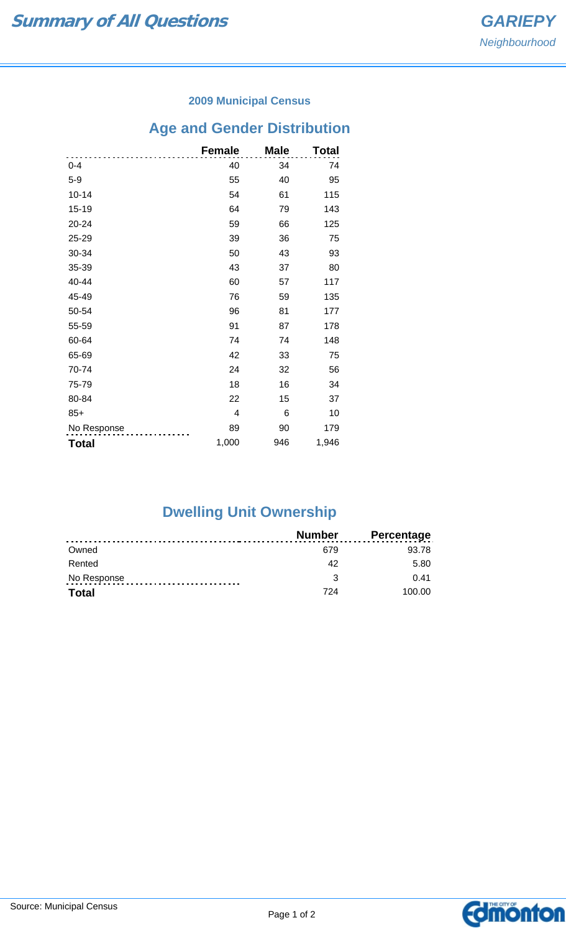### **2009 Municipal Census**

# **Age and Gender Distribution**

|              | <b>Female</b> | <b>Male</b> | <b>Total</b> |
|--------------|---------------|-------------|--------------|
| $0 - 4$      | 40            | 34          | 74           |
| $5-9$        | 55            | 40          | 95           |
| $10 - 14$    | 54            | 61          | 115          |
| $15 - 19$    | 64            | 79          | 143          |
| 20-24        | 59            | 66          | 125          |
| 25-29        | 39            | 36          | 75           |
| 30-34        | 50            | 43          | 93           |
| 35-39        | 43            | 37          | 80           |
| 40-44        | 60            | 57          | 117          |
| 45-49        | 76            | 59          | 135          |
| 50-54        | 96            | 81          | 177          |
| 55-59        | 91            | 87          | 178          |
| 60-64        | 74            | 74          | 148          |
| 65-69        | 42            | 33          | 75           |
| 70-74        | 24            | 32          | 56           |
| 75-79        | 18            | 16          | 34           |
| 80-84        | 22            | 15          | 37           |
| $85+$        | 4             | 6           | 10           |
| No Response  | 89            | 90          | 179          |
| <b>Total</b> | 1,000         | 946         | 1,946        |

# **Dwelling Unit Ownership**

|              | <b>Number</b> | <b>Percentage</b> |
|--------------|---------------|-------------------|
| Owned        | 679           | 93.78             |
| Rented       | 42            | 5.80              |
| No Response  |               | 0.41              |
| <b>Total</b> | 724           | 100.00            |